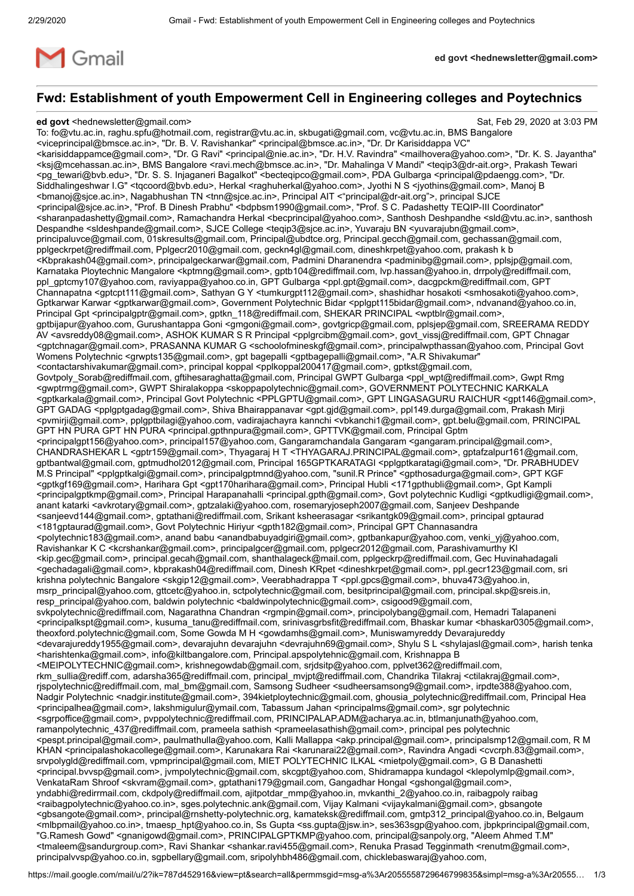

**ed govt <hednewsletter@gmail.com>**

# **Fwd: Establishment of youth Empowerment Cell in Engineering colleges and Poytechnics**

#### **ed govt** <hednewsletter@gmail.com> Sat, Feb 29, 2020 at 3:03 PM

To: fo@vtu.ac.in, raghu.spfu@hotmail.com, registrar@vtu.ac.in, skbugati@gmail.com, vc@vtu.ac.in, BMS Bangalore <viceprincipal@bmsce.ac.in>, "Dr. B. V. Ravishankar" <principal@bmsce.ac.in>, "Dr. Dr Karisiddappa VC" <karisiddappamce@gmail.com>, "Dr. G Ravi" <principal@nie.ac.in>, "Dr. H.V. Ravindra" <mailhovera@yahoo.com>, "Dr. K. S. Jayantha" <ksj@mcehassan.ac.in>, BMS Bangalore <ravi.mech@bmsce.ac.in>, "Dr. Mahalinga V Mandi" <teqip3@dr-ait.org>, Prakash Tewari <pg\_tewari@bvb.edu>, "Dr. S. S. Injaganeri Bagalkot" <becteqipco@gmail.com>, PDA Gulbarga <principal@pdaengg.com>, "Dr. Siddhalingeshwar I.G" <tqcoord@bvb.edu>, Herkal <raghuherkal@yahoo.com>, Jyothi N S <jyothins@gmail.com>, Manoj B <bmanoj@sjce.ac.in>, Nagabhushan TN <tnn@sjce.ac.in>, Principal AIT <"principal@dr-ait.org">, principal SJCE <principal@sjce.ac.in>, "Prof. B Dinesh Prabhu" <bdpbsm1990@gmail.com>, "Prof. S C. Padashetty TEQIP-III Coordinator" <sharanpadashetty@gmail.com>, Ramachandra Herkal <becprincipal@yahoo.com>, Santhosh Deshpandhe <sld@vtu.ac.in>, santhosh Despandhe <sldeshpande@gmail.com>, SJCE College <teqip3@sjce.ac.in>, Yuvaraju BN <yuvarajubn@gmail.com>, principaluvce@gmail.com, 01skresults@gmail.com, Principal@ubdtce.org, Principal.gecch@gmail.com, gechassan@gmail.com, pplgeckrpet@rediffmail.com, Pplgecr2010@gmail.com, geckn4gl@gmail.com, dineshkrpet@yahoo.com, prakash k b <Kbprakash04@gmail.com>, principalgeckarwar@gmail.com, Padmini Dharanendra <padminibg@gmail.com>, pplsjp@gmail.com, Karnataka Ploytechnic Mangalore <kptmng@gmail.com>, gptb104@rediffmail.com, lvp.hassan@yahoo.in, drrpoly@rediffmail.com, ppl\_gptcmy107@yahoo.com, raviyappa@yahoo.co.in, GPT Gulbarga <ppl.gpt@gmail.com>, dacgpckm@rediffmail.com, GPT Channapatna <gptcpt111@gmail.com>, Sathyan G Y <tumkurgpt112@gmail.com>, shashidhar hosakoti <smhosakoti@yahoo.com>, Gptkarwar Karwar <gptkarwar@gmail.com>, Government Polytechnic Bidar <pplgpt115bidar@gmail.com>, ndvanand@yahoo.co.in, Principal Gpt <principalgptr@gmail.com>, gptkn\_118@rediffmail.com, SHEKAR PRINCIPAL <wptblr@gmail.com>, gptbijapur@yahoo.com, Gurushantappa Goni <gmgoni@gmail.com>, govtgricp@gmail.com, pplsjep@gmail.com, SREERAMA REDDY AV <avsreddy08@gmail.com>, ASHOK KUMAR S R Principal <pplgrcibm@gmail.com>, govt\_vissj@rediffmail.com, GPT Chnagar <gptchnagar@gmail.com>, PRASANNA KUMAR G <schoolofmineskgf@gmail.com>, principalwpthassan@yahoo.com, Principal Govt Womens Polytechnic <grwpts135@gmail.com>, gpt bagepalli <gptbagepalli@gmail.com>, "A.R Shivakumar" <contactarshivakumar@gmail.com>, principal koppal <pplkoppal200417@gmail.com>, gptkst@gmail.com, Govtpoly\_Sorab@rediffmail.com, gftihesaraghatta@gmail.com, Principal GWPT Gulbarga <ppl\_wpt@rediffmail.com>, Gwpt Rmg <gwptrmg@gmail.com>, GWPT Shiralakoppa <skoppapolytechnic@gmail.com>, GOVERNMENT POLYTECHNIC KARKALA <gptkarkala@gmail.com>, Principal Govt Polytechnic <PPLGPTU@gmail.com>, GPT LINGASAGURU RAICHUR <gpt146@gmail.com>, GPT GADAG <pplgptgadag@gmail.com>, Shiva Bhairappanavar <gpt.gjd@gmail.com>, ppl149.durga@gmail.com, Prakash Mirji <pvmirji@gmail.com>, pplgptbilagi@yahoo.com, vadirajachayra kannchi <vbkanchi1@gmail.com>, gpt.belu@gmail.com, PRINCIPAL GPT HN PURA GPT HN PURA <principal.gpthnpura@gmail.com>, GPTTVK@gmail.com, Principal Gptm <principalgpt156@yahoo.com>, principal157@yahoo.com, Gangaramchandala Gangaram <gangaram.principal@gmail.com>, CHANDRASHEKAR L <gptr159@gmail.com>, Thyagaraj H T <THYAGARAJ.PRINCIPAL@gmail.com>, gptafzalpur161@gmail.com, gptbantwal@gmail.com, gptmudhol2012@gmail.com, Principal 165GPTKARATAGI <pplgptkaratagi@gmail.com>, "Dr. PRABHUDEV M.S Principal" <pplgptkalgi@gmail.com>, principalgptmnd@yahoo.com, "sunil.R Prince" <gpthosadurga@gmail.com>, GPT KGF <gptkgf169@gmail.com>, Harihara Gpt <gpt170harihara@gmail.com>, Principal Hubli <171gpthubli@gmail.com>, Gpt Kampli <principalgptkmp@gmail.com>, Principal Harapanahalli <principal.gpth@gmail.com>, Govt polytechnic Kudligi <gptkudligi@gmail.com>, anant katarki <avkrotary@gmail.com>, gptzalaki@yahoo.com, rosemaryjoseph2007@gmail.com, Sanjeev Deshpande <sanjeevd144@gmail.com>, gptathani@rediffmail.com, Srikant ksheerasagar <srikantgk09@gmail.com>, principal gptaurad <181gptaurad@gmail.com>, Govt Polytechnic Hiriyur <gpth182@gmail.com>, Principal GPT Channasandra <polytechnic183@gmail.com>, anand babu <anandbabuyadgiri@gmail.com>, gptbankapur@yahoo.com, venki\_yj@yahoo.com, Ravishankar K C <kcrshankar@gmail.com>, principalgcer@gmail.com, pplgecr2012@gmail.com, Parashivamurthy KI <kip.gec@gmail.com>, principal.gecah@gmail.com, shanthalageck@mail.com, pplgeckrp@rediffmail.com, Gec Huvinahadagali <gechadagali@gmail.com>, kbprakash04@rediffmail.com, Dinesh KRpet <dineshkrpet@gmail.com>, ppl.gecr123@gmail.com, sri krishna polytechnic Bangalore <skgip12@gmail.com>, Veerabhadrappa T <ppl.gpcs@gmail.com>, bhuva473@yahoo.in, msrp\_principal@yahoo.com, gttcetc@yahoo.in, sctpolytechnic@gmail.com, besitprincipal@gmail.com, principal.skp@sreis.in, resp\_principal@yahoo.com, baldwin polytechnic <baldwinpolytechnic@gmail.com>, csigood9@gmail.com, svkpolytechnic@rediffmail.com, Nagarathna Chandran <rgmpin@gmail.com>, principolybang@gmail.com, Hemadri Talapaneni <principalkspt@gmail.com>, kusuma\_tanu@rediffmail.com, srinivasgrbsfit@rediffmail.com, Bhaskar kumar <bhaskar0305@gmail.com>, theoxford.polytechnic@gmail.com, Some Gowda M H <gowdamhs@gmail.com>, Muniswamyreddy Devarajureddy <devarajureddy1955@gmail.com>, devarajuhn devarajuhn <devrajuhn69@gmail.com>, Shylu S L <shylajasl@gmail.com>, harish tenka <harishtenka@gmail.com>, info@kiltbangalore.com, Principal.apspolytehnic@gmail.com, Krishnappa B <MEIPOLYTECHNIC@gmail.com>, krishnegowdab@gmail.com, srjdsitp@yahoo.com, pplvet362@rediffmail.com, rkm\_sullia@rediff.com, adarsha365@rediffmail.com, principal\_mvjpt@rediffmail.com, Chandrika Tilakraj <ctilakraj@gmail.com>, rjspolytechnic@rediffmail.com, mal\_bm@gmail.com, Samsong Sudheer <sudheersamsong9@gmail.com>, irpdte388@yahoo.com, Nadgir Polytechnic <nadgir.institute@gmail.com>, 394kietploytechnic@gmail.com, ghousia\_polytechnic@rediffmail.com, Principal Hea <principalhea@gmail.com>, lakshmigulur@ymail.com, Tabassum Jahan <principalms@gmail.com>, sgr polytechnic <sgrpoffice@gmail.com>, pvppolytechnic@rediffmail.com, PRINCIPALAP.ADM@acharya.ac.in, btlmanjunath@yahoo.com, ramanpolytechnic 437@rediffmail.com, prameela sathish <prameelasathish@gmail.com>, principal pes polytechnic <pespt.principal@gmail.com>, paulmathulla@yahoo.com, Kalli Mallappa <akp.principal@gmail.com>, principalsmp12@gmail.com, R M KHAN <principalashokacollege@gmail.com>, Karunakara Rai <karunarai22@gmail.com>, Ravindra Angadi <cvcrph.83@gmail.com>, srvpolygld@rediffmail.com, vpmprincipal@gmail.com, MIET POLYTECHNIC ILKAL <mietpoly@gmail.com>, G B Danashetti <principal.bvvsp@gmail.com>, jvmpolytechnic@gmail.com, skcgpt@yahoo.com, Shidramappa kundagol <klepolymlp@gmail.com>, VenkataRam Shroof <skvram@gmail.com>, gptathani179@gmail.com, Gangadhar Hongal <gshongal@gmail.com>, yndabhi@redirrmail.com, ckdpoly@rediffmail.com, ajitpotdar\_mmp@yahoo.in, mvkanthi\_2@yahoo.co.in, raibagpoly raibag <raibagpolytechnic@yahoo.co.in>, sges.polytechnic.ank@gmail.com, Vijay Kalmani <vijaykalmani@gmail.com>, gbsangote <gbsangote@gmail.com>, principal@rnshetty-polytechnic.org, kamateksk@rediffmail.com, gmtp312\_principal@yahoo.co.in, Belgaum <mlbpmail@yahoo.co.in>, tmaesp\_hpt@yahoo.co.in, Ss Gupta <ss.gupta@jsw.in>, ses363sgp@yahoo.com, jbpkprincipal@gmail.com, "G.Ramesh Gowd" <gnanigowd@gmail.com>, PRINCIPALGPTKMP@yahoo.com, principal@sanpoly.org, "Aleem Ahmed T.M" <tmaleem@sandurgroup.com>, Ravi Shankar <shankar.ravi455@gmail.com>, Renuka Prasad Tegginmath <renutm@gmail.com>, principalvvsp@yahoo.co.in, sgpbellary@gmail.com, sripolyhbh486@gmail.com, chicklebaswaraj@yahoo.com,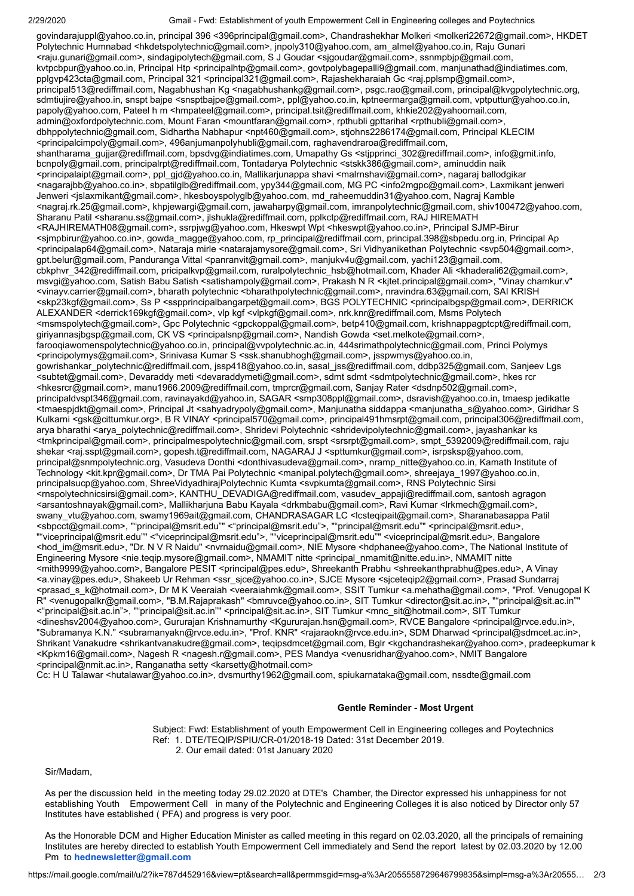#### 2/29/2020 Gmail - Fwd: Establishment of youth Empowerment Cell in Engineering colleges and Poytechnics

govindarajuppl@yahoo.co.in, principal 396 <396principal@gmail.com>, Chandrashekhar Molkeri <molkeri22672@gmail.com>, HKDET Polytechnic Humnabad <hkdetspolytechnic@gmail.com>, jnpoly310@yahoo.com, am\_almel@yahoo.co.in, Raju Gunari <raju.gunari@gmail.com>, sindagipolytech@gmail.com, S J Goudar <sjgoudar@gmail.com>, ssnmpbjp@gmail.com, kvtpcbpur@yahoo.co.in, Principal Htp <principalhtp@gmail.com>, govtpolybagepalli9@gmail.com, manjunathad@indiatimes.com, pplgvp423cta@gmail.com, Principal 321 <principal321@gmail.com>, Rajashekharaiah Gc <raj.pplsmp@gmail.com>, principal513@rediffmail.com, Nagabhushan Kg <nagabhushankg@gmail.com>, psgc.rao@gmail.com, principal@kvgpolytechnic.org, sdmtiujire@yahoo.in, snspt bajpe <snsptbajpe@gmail.com>, ppl@yahoo.co.in, kptneermarga@gmail.com, vptputtur@yahoo.co.in, papoly@yahoo.com, Pateel h m <hmpateel@gmail.com>, principal.tsit@rediffmail.com, khkie202@yahoomail.com, admin@oxfordpolytechnic.com, Mount Faran <mountfaran@gmail.com>, rpthubli gpttarihal <rpthubli@gmail.com>, dbhppolytechnic@gmail.com, Sidhartha Nabhapur <npt460@gmail.com>, stjohns2286174@gmail.com, Principal KLECIM <principalcimpoly@gmail.com>, 496anjumanpolyhubli@gmail.com, raghavendraroa@rediffmail.com, shantharama\_gujjar@rediffmail.com, bpsdvg@indiatimes.com, Umapathy Gs <stjpprinci\_302@rediffmail.com>, info@gmit.info, bcnpoly@gmail.com, principalrpt@rediffmail.com, Tontadarya Polytechnic <stskk386@gmail.com>, aminuddin naik <principalaipt@gmail.com>, ppl\_gjd@yahoo.co.in, Mallikarjunappa shavi <malrnshavi@gmail.com>, nagaraj ballodgikar <nagarajbb@yahoo.co.in>, sbpatilglb@rediffmail.com, ypy344@gmail.com, MG PC <info2mgpc@gmail.com>, Laxmikant jenweri Jenweri <jslaxmikant@gmail.com>, hkesboyspolyglb@yahoo.com, md\_raheemuddin31@yahoo.com, Nagraj Kamble <nagraj.rk.25@gmail.com>, khpjewargi@gmail.com, jawaharpy@gmail.com, imranpolytechnic@gmail.com, shiv100472@yahoo.com, Sharanu Patil <sharanu.ss@gmail.com>, jlshukla@rediffmail.com, pplkctp@rediffmail.com, RAJ HIREMATH <RAJHIREMATH08@gmail.com>, ssrpjwg@yahoo.com, Hkeswpt Wpt <hkeswpt@yahoo.co.in>, Principal SJMP-Birur <sjmpbirur@yahoo.co.in>, gowda\_magge@yahoo.com, rp\_principal@rediffmail.com, principal.398@sbpedu.org.in, Principal Ap <principalap64@gmail.com>, Nataraja mirle <natarajamysore@gmail.com>, Sri Vidhyanikethan Polytechnic <svp504@gmail.com>, gpt.belur@gmail.com, Panduranga Vittal <panranvit@gmail.com>, manjukv4u@gmail.com, yachi123@gmail.com, cbkphvr\_342@rediffmail.com, pricipalkvp@gmail.com, ruralpolytechnic\_hsb@hotmail.com, Khader Ali <khaderali62@gmail.com>, msvgi@yahoo.com, Satish Babu Satish <satishampoly@gmail.com>, Prakash N R <kjtet.principal@gmail.com>, "Vinay chamkur.v" <vinayv.carrier@gmail.com>, bharath polytechnic <bharathpolytechnic@gmail.com>, nravindra.63@gmail.com, SAI KRISH <skp23kgf@gmail.com>, Ss P <sspprincipalbangarpet@gmail.com>, BGS POLYTECHNIC <principalbgsp@gmail.com>, DERRICK ALEXANDER <derrick169kgf@gmail.com>, vlp kgf <vlpkgf@gmail.com>, nrk.knr@rediffmail.com, Msms Polytech <msmspolytech@gmail.com>, Gpc Polytechnic <gpckoppal@gmail.com>, betp410@gmail.com, krishnappagptcpt@rediffmail.com, giriyannasjbgsp@gmail.com, CK VS <principalsnp@gmail.com>, Nandish Gowda <set.melkote@gmail.com>, farooqiawomenspolytechnic@yahoo.co.in, principal@vvpolytechnic.ac.in, 444srimathpolytechnic@gmail.com, Princi Polymys <principolymys@gmail.com>, Srinivasa Kumar S <ssk.shanubhogh@gmail.com>, jsspwmys@yahoo.co.in, gowrishankar\_polytechnic@rediffmail.com, jssp418@yahoo.co.in, sasal\_jss@rediffmail.com, ddbp325@gmail.com, Sanjeev Lgs <subtet@gmail.com>, Devaraddy meti <devaraddymeti@gmail.com>, sdmt sdmt <sdmtpolytechnic@gmail.com>, hkes rcr <hkesrcr@gmail.com>, manu1966.2009@rediffmail.com, tmprcr@gmail.com, Sanjay Rater <dsdnp502@gmail.com>, principaldvspt346@gmail.com, ravinayakd@yahoo.in, SAGAR <smp308ppl@gmail.com>, dsravish@yahoo.co.in, tmaesp jedikatte <tmaespjdkt@gmail.com>, Principal Jt <sahyadrypoly@gmail.com>, Manjunatha siddappa <manjunatha\_s@yahoo.com>, Giridhar S Kulkarni <gsk@cittumkur.org>, B R VINAY <principal570@gmail.com>, principal491hmsrpt@gmail.com, principal306@rediffmail.com, arya bharathi <arya\_polytechnic@rediffmail.com>, Shridevi Polytechnic <shridevipolytechnic@gmail.com>, jayashankar ks <tmkprincipal@gmail.com>, principalmespolytechnic@gmail.com, srspt <srsrpt@gmail.com>, smpt\_5392009@rediffmail.com, raju shekar <raj.sspt@gmail.com>, gopesh.t@rediffmail.com, NAGARAJ J <spttumkur@gmail.com>, isrpsksp@yahoo.com, principal@snmpolytechnic.org, Vasudeva Donthi <donthivasudeva@gmail.com>, nramp\_nitte@yahoo.co.in, Kamath Institute of Technology <kit.kpr@gmail.com>, Dr TMA Pai Polytechnic <manipal.polytech@gmail.com>, shreejaya\_1997@yahoo.co.in, principalsucp@yahoo.com, ShreeVidyadhirajPolytechnic Kumta <svpkumta@gmail.com>, RNS Polytechnic Sirsi <rnspolytechnicsirsi@gmail.com>, KANTHU\_DEVADIGA@rediffmail.com, vasudev\_appaji@rediffmail.com, santosh agragon <arsantoshnayak@gmail.com>, Mallikharjuna Babu Kayala <drkmbabu@gmail.com>, Ravi Kumar <lrkmech@gmail.com>, swany\_vtu@yahoo.com, swamy1969ait@gmail.com, CHANDRASAGAR LC <lcsteqipait@gmail.com>, Sharanabasappa Patil <sbpcct@gmail.com>, ""principal@msrit.edu"" <"principal@msrit.edu">, ""principal@msrit.edu"" <principal@msrit.edu>, ""viceprincipal@msrit.edu"" <"viceprincipal@msrit.edu">, ""viceprincipal@msrit.edu"" <viceprincipal@msrit.edu>, Bangalore <hod\_im@msrit.edu>, "Dr. N V R Naidu" <nvrnaidu@gmail.com>, NIE Mysore <hdphanee@yahoo.com>, The National Institute of Engineering Mysore <nie.teqip.mysore@gmail.com>, NMAMIT nitte <principal\_nmamit@nitte.edu.in>, NMAMIT nitte <mith9999@yahoo.com>, Bangalore PESIT <principal@pes.edu>, Shreekanth Prabhu <shreekanthprabhu@pes.edu>, A Vinay <a.vinay@pes.edu>, Shakeeb Ur Rehman <ssr\_sjce@yahoo.co.in>, SJCE Mysore <sjceteqip2@gmail.com>, Prasad Sundarraj <prasad\_s\_k@hotmail.com>, Dr M K Veeraiah <veeraiahmk@gmail.com>, SSIT Tumkur <a.mehatha@gmail.com>, "Prof. Venugopal K R" <venugopalkr@gmail.com>, "B.M.Rajaprakash" <bmruvce@yahoo.co.in>, SIT Tumkur <director@sit.ac.in>, ""principal@sit.ac.in"" <"principal@sit.ac.in">, ""principal@sit.ac.in"" <principal@sit.ac.in>, SIT Tumkur <mnc\_sit@hotmail.com>, SIT Tumkur <dineshsv2004@yahoo.com>, Gururajan Krishnamurthy <Kgururajan.hsn@gmail.com>, RVCE Bangalore <principal@rvce.edu.in>, "Subramanya K.N." <subramanyakn@rvce.edu.in>, "Prof. KNR" <rajaraokn@rvce.edu.in>, SDM Dharwad <principal@sdmcet.ac.in>, Shrikant Vanakudre <shrikantvanakudre@gmail.com>, teqipsdmcet@gmail.com, Bglr <kgchandrashekar@yahoo.com>, pradeepkumar k <Kpkm16@gmail.com>, Nagesh R <nagesh.r@gmail.com>, PES Mandya <venusridhar@yahoo.com>, NMIT Bangalore <principal@nmit.ac.in>, Ranganatha setty <karsetty@hotmail.com>

Cc: H U Talawar <hutalawar@yahoo.co.in>, dvsmurthy1962@gmail.com, spiukarnataka@gmail.com, nssdte@gmail.com

## **Gentle Reminder - Most Urgent**

 Subject: Fwd: Establishment of youth Empowerment Cell in Engineering colleges and Poytechnics Ref: 1. DTE/TEQIP/SPIU/CR-01/2018-19 Dated: 31st December 2019. 2. Our email dated: 01st January 2020

Sir/Madam,

As per the discussion held in the meeting today 29.02.2020 at DTE's Chamber, the Director expressed his unhappiness for not establishing Youth Empowerment Cell in many of the Polytechnic and Engineering Colleges it is also noticed by Director only 57 Institutes have established ( PFA) and progress is very poor.

As the Honorable DCM and Higher Education Minister as called meeting in this regard on 02.03.2020, all the principals of remaining Institutes are hereby directed to establish Youth Empowerment Cell immediately and Send the report latest by 02.03.2020 by 12.00 Pm to **[hednewsletter@gmail.com](mailto:hednewsletter@gmail.com)**